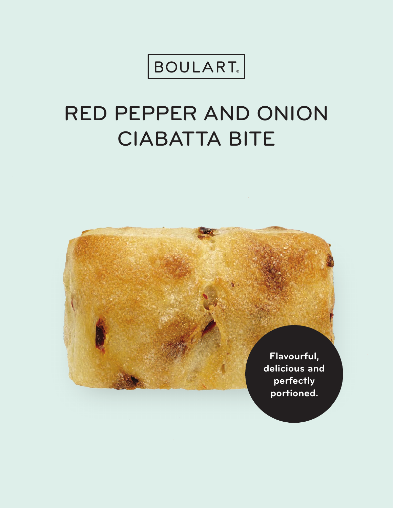BOULART<sub>®</sub>

# RED PEPPER AND ONION CIABATTA BITE